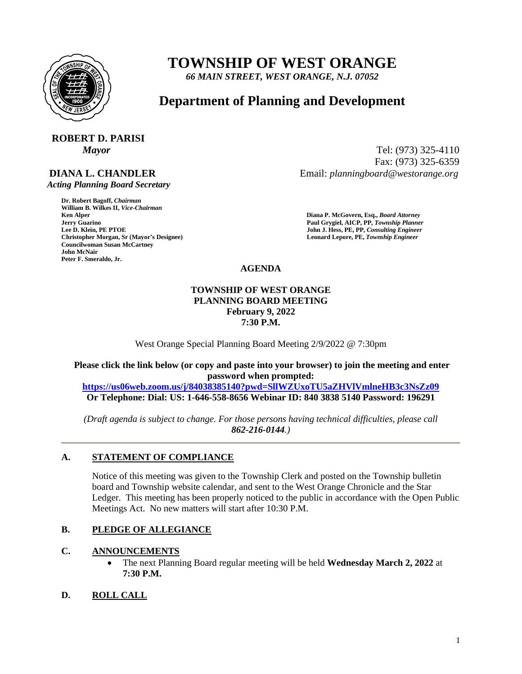

# **TOWNSHIP OF WEST ORANGE**

*66 MAIN STREET, WEST ORANGE, N.J. 07052*

### **Department of Planning and Development**

## **ROBERT D. PARISI**

### **DIANA L. CHANDLER**

 *Acting Planning Board Secretary*

**Dr. Robert Bagoff,** *Chairman*  **William B. Wilkes II,** *Vice-Chairman*  **Formula Guarino Paul Grygiel, AICP, PP,** *Township Planner* **<b>Lee D. Klein, PE PTOE Properties and** *John J. Hess, PE, PP, Consulting Engineer* **Christopher Morgan, Sr (Mayor's Designee) Leonard Lepore, PE,** *Township Engineer*  **Councilwoman Susan McCartney John McNair Peter F. Smeraldo, Jr.** 

*Mayor* Tel: (973) 325-4110 Fax: (973) 325-6359 Email: *planningboard@westorange.org*

> **Ken Alper****Diana P. McGovern, Esq.,** *Board Attorney*  **John J. Hess, PE, PP,** *Consulting Engineer*

**AGENDA**

#### **TOWNSHIP OF WEST ORANGE PLANNING BOARD MEETING February 9, 2022 7:30 P.M.**

West Orange Special Planning Board Meeting 2/9/2022 @ 7:30pm

**Please click the link below (or copy and paste into your browser) to join the meeting and enter password when prompted:** 

**<https://us06web.zoom.us/j/84038385140?pwd=SllWZUxoTU5aZHVlVmlneHB3c3NsZz09> Or Telephone: Dial: US: 1-646-558-8656 Webinar ID: 840 3838 5140 Password: 196291**

*(Draft agenda is subject to change. For those persons having technical difficulties, please call 862-216-0144.)*

#### **A. STATEMENT OF COMPLIANCE**

Notice of this meeting was given to the Township Clerk and posted on the Township bulletin board and Township website calendar, and sent to the West Orange Chronicle and the Star Ledger. This meeting has been properly noticed to the public in accordance with the Open Public Meetings Act. No new matters will start after 10:30 P.M.

#### **B. PLEDGE OF ALLEGIANCE**

#### **C. ANNOUNCEMENTS**

- The next Planning Board regular meeting will be held **Wednesday March 2, 2022** at **7:30 P.M.**
- **D. ROLL CALL**